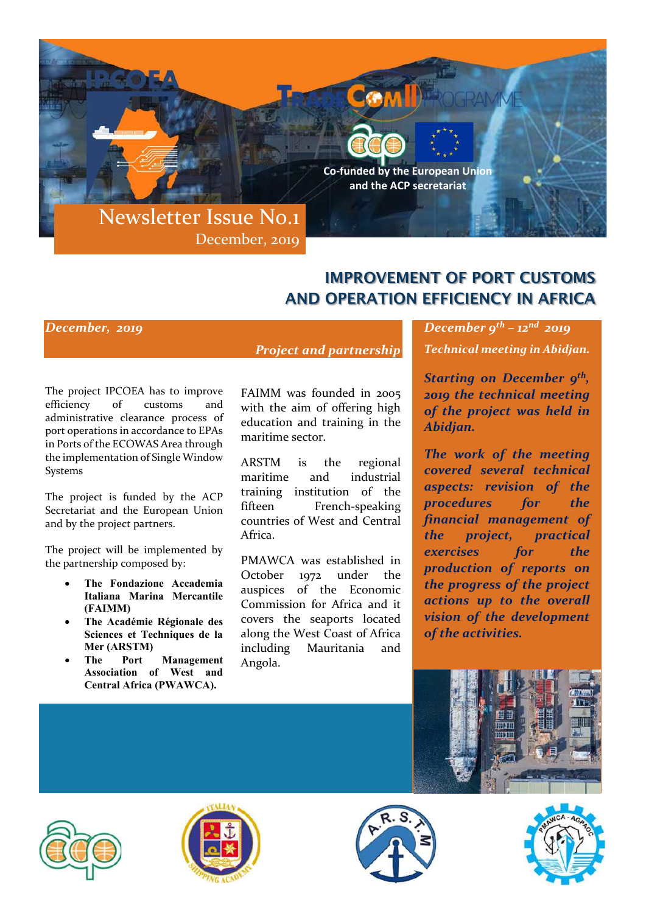

# IMPROVEMENT OF PORT CUSTOMS AND OPERATION EFFICIENCY IN AFRICA

#### December, 2019

Project and partnership

The project IPCOEA has to improve efficiency of customs and administrative clearance process of port operations in accordance to EPAs in Ports of the ECOWAS Area through the implementation of Single Window Systems

The project is funded by the ACP Secretariat and the European Union and by the project partners.

The project will be implemented by the partnership composed by:

- The Fondazione Accademia Italiana Marina Mercantile (FAIMM)
- The Académie Régionale des Sciences et Techniques de la Mer (ARSTM)
- The Port Management Association of West and Central Africa (PWAWCA).

FAIMM was founded in 2005 with the aim of offering high education and training in the maritime sector.

ARSTM is the regional maritime and industrial training institution of the fifteen French-speaking countries of West and Central Africa.

PMAWCA was established in October 1972 under the auspices of the Economic Commission for Africa and it covers the seaports located along the West Coast of Africa including Mauritania and Angola.

December  $9^{th}$  –  $12^{nd}$  2019 Technical meeting in Abidjan.

Starting on December  $g^{th}$ , 2019 the technical meeting of the project was held in Abidjan.

The work of the meeting covered several technical aspects: revision of the procedures for the financial management of the project, practical exercises for the production of reports on the progress of the project actions up to the overall vision of the development of the activities.